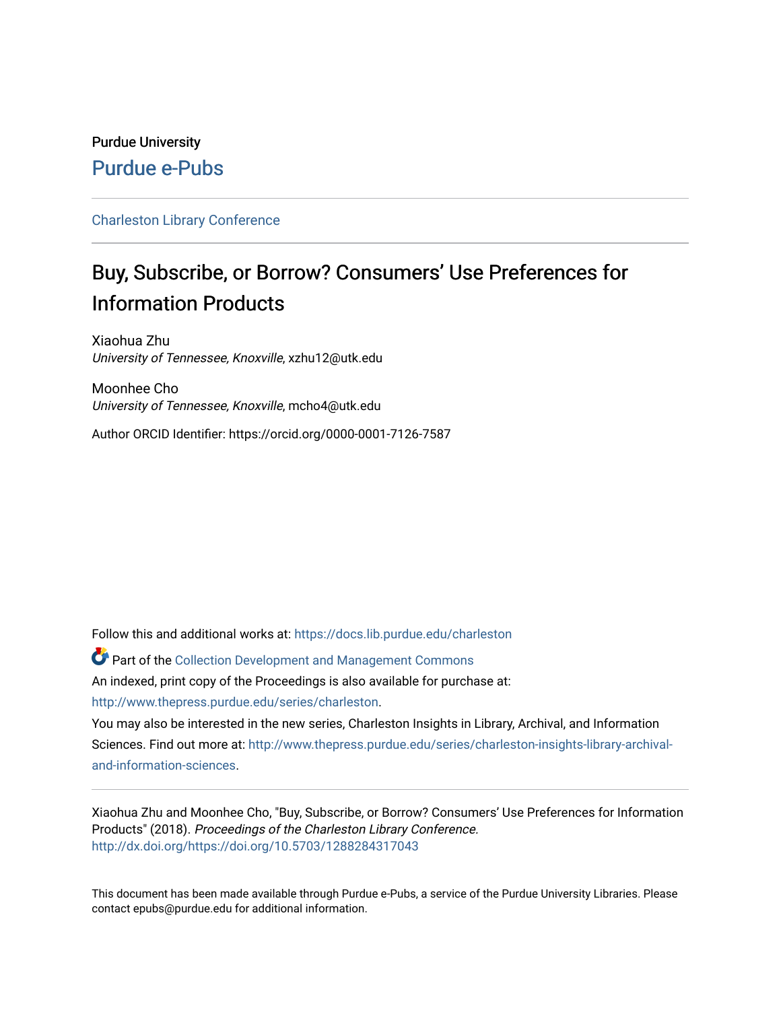# Purdue University [Purdue e-Pubs](https://docs.lib.purdue.edu/)

## [Charleston Library Conference](https://docs.lib.purdue.edu/charleston)

# Buy, Subscribe, or Borrow? Consumers' Use Preferences for Information Products

Xiaohua Zhu University of Tennessee, Knoxville, xzhu12@utk.edu

Moonhee Cho University of Tennessee, Knoxville, mcho4@utk.edu

Author ORCID Identifier: https://orcid.org/0000-0001-7126-7587

Follow this and additional works at: [https://docs.lib.purdue.edu/charleston](https://docs.lib.purdue.edu/charleston?utm_source=docs.lib.purdue.edu%2Fcharleston%2F2018%2Flibraryservices%2F4&utm_medium=PDF&utm_campaign=PDFCoverPages) 

Part of the [Collection Development and Management Commons](http://network.bepress.com/hgg/discipline/1271?utm_source=docs.lib.purdue.edu%2Fcharleston%2F2018%2Flibraryservices%2F4&utm_medium=PDF&utm_campaign=PDFCoverPages)  An indexed, print copy of the Proceedings is also available for purchase at: [http://www.thepress.purdue.edu/series/charleston.](http://www.thepress.purdue.edu/series/charleston)

You may also be interested in the new series, Charleston Insights in Library, Archival, and Information Sciences. Find out more at: [http://www.thepress.purdue.edu/series/charleston-insights-library-archival](http://www.thepress.purdue.edu/series/charleston-insights-library-archival-and-information-sciences)[and-information-sciences](http://www.thepress.purdue.edu/series/charleston-insights-library-archival-and-information-sciences).

Xiaohua Zhu and Moonhee Cho, "Buy, Subscribe, or Borrow? Consumers' Use Preferences for Information Products" (2018). Proceedings of the Charleston Library Conference. <http://dx.doi.org/https://doi.org/10.5703/1288284317043>

This document has been made available through Purdue e-Pubs, a service of the Purdue University Libraries. Please contact epubs@purdue.edu for additional information.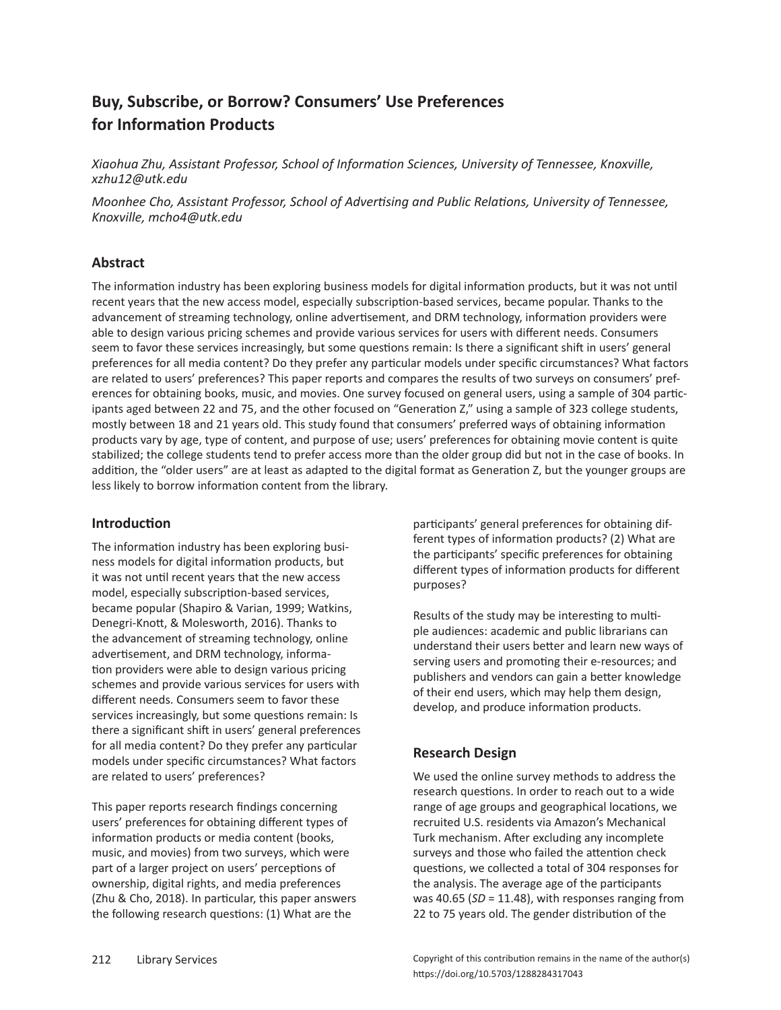# **Buy, Subscribe, or Borrow? Consumers' Use Preferences for Information Products**

*Xiaohua Zhu, Assistant Professor, School of Information Sciences, University of Tennessee, Knoxville, xzhu12@utk.edu*

*Moonhee Cho, Assistant Professor, School of Advertising and Public Relations, University of Tennessee, Knoxville, mcho4@utk.edu* 

# **Abstract**

The information industry has been exploring business models for digital information products, but it was not until recent years that the new access model, especially subscription-based services, became popular. Thanks to the advancement of streaming technology, online advertisement, and DRM technology, information providers were able to design various pricing schemes and provide various services for users with different needs. Consumers seem to favor these services increasingly, but some questions remain: Is there a significant shift in users' general preferences for all media content? Do they prefer any particular models under specific circumstances? What factors are related to users' preferences? This paper reports and compares the results of two surveys on consumers' preferences for obtaining books, music, and movies. One survey focused on general users, using a sample of 304 participants aged between 22 and 75, and the other focused on "Generation Z," using a sample of 323 college students, mostly between 18 and 21 years old. This study found that consumers' preferred ways of obtaining information products vary by age, type of content, and purpose of use; users' preferences for obtaining movie content is quite stabilized; the college students tend to prefer access more than the older group did but not in the case of books. In addition, the "older users" are at least as adapted to the digital format as Generation Z, but the younger groups are less likely to borrow information content from the library.

## **Introduction**

The information industry has been exploring business models for digital information products, but it was not until recent years that the new access model, especially subscription-based services, became popular (Shapiro & Varian, 1999; Watkins, Denegri-Knott, & Molesworth, 2016). Thanks to the advancement of streaming technology, online advertisement, and DRM technology, information providers were able to design various pricing schemes and provide various services for users with different needs. Consumers seem to favor these services increasingly, but some questions remain: Is there a significant shift in users' general preferences for all media content? Do they prefer any particular models under specific circumstances? What factors are related to users' preferences?

This paper reports research findings concerning users' preferences for obtaining different types of information products or media content (books, music, and movies) from two surveys, which were part of a larger project on users' perceptions of ownership, digital rights, and media preferences (Zhu & Cho, 2018). In particular, this paper answers the following research questions: (1) What are the

participants' general preferences for obtaining different types of information products? (2) What are the participants' specific preferences for obtaining different types of information products for different purposes?

Results of the study may be interesting to multiple audiences: academic and public librarians can understand their users better and learn new ways of serving users and promoting their e-resources; and publishers and vendors can gain a better knowledge of their end users, which may help them design, develop, and produce information products.

# **Research Design**

We used the online survey methods to address the research questions. In order to reach out to a wide range of age groups and geographical locations, we recruited U.S. residents via Amazon's Mechanical Turk mechanism. After excluding any incomplete surveys and those who failed the attention check questions, we collected a total of 304 responses for the analysis. The average age of the participants was 40.65 (*SD* = 11.48), with responses ranging from 22 to 75 years old. The gender distribution of the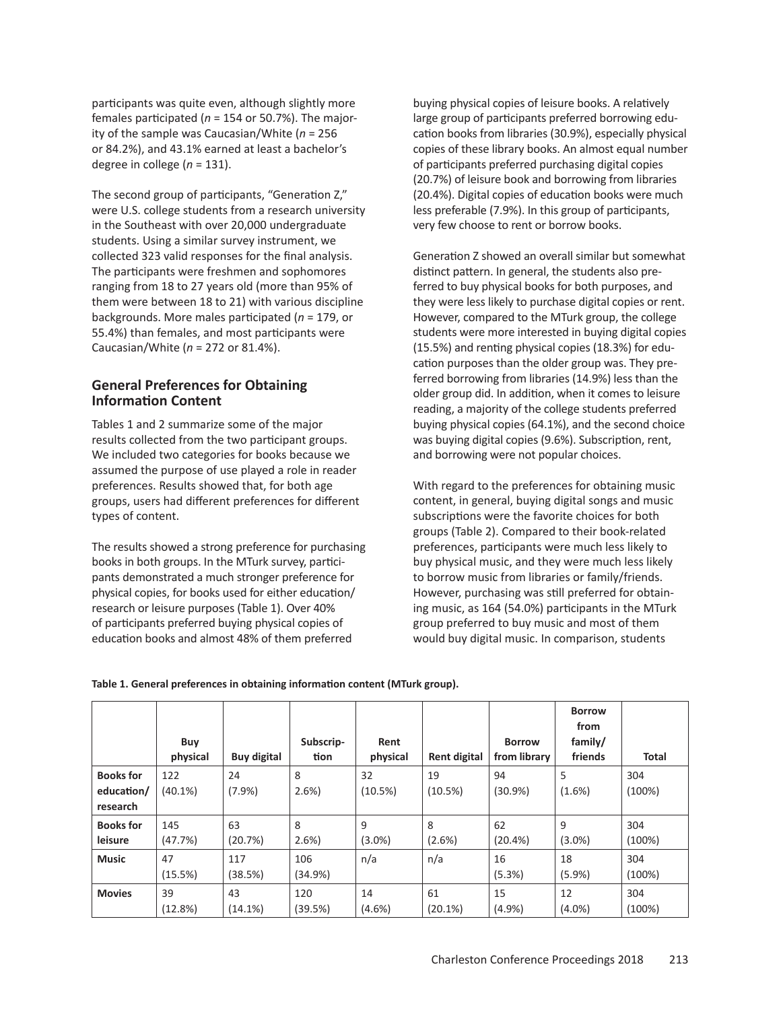participants was quite even, although slightly more females participated (*n* = 154 or 50.7%). The majority of the sample was Caucasian/White (*n* = 256 or 84.2%), and 43.1% earned at least a bachelor's degree in college (*n* = 131).

The second group of participants, "Generation Z," were U.S. college students from a research university in the Southeast with over 20,000 undergraduate students. Using a similar survey instrument, we collected 323 valid responses for the final analysis. The participants were freshmen and sophomores ranging from 18 to 27 years old (more than 95% of them were between 18 to 21) with various discipline backgrounds. More males participated (*n* = 179, or 55.4%) than females, and most participants were Caucasian/White (*n* = 272 or 81.4%).

#### **General Preferences for Obtaining Information Content**

Tables 1 and 2 summarize some of the major results collected from the two participant groups. We included two categories for books because we assumed the purpose of use played a role in reader preferences. Results showed that, for both age groups, users had different preferences for different types of content.

The results showed a strong preference for purchasing books in both groups. In the MTurk survey, participants demonstrated a much stronger preference for physical copies, for books used for either education/ research or leisure purposes (Table 1). Over 40% of participants preferred buying physical copies of education books and almost 48% of them preferred

buying physical copies of leisure books. A relatively large group of participants preferred borrowing education books from libraries (30.9%), especially physical copies of these library books. An almost equal number of participants preferred purchasing digital copies (20.7%) of leisure book and borrowing from libraries (20.4%). Digital copies of education books were much less preferable (7.9%). In this group of participants, very few choose to rent or borrow books.

Generation Z showed an overall similar but somewhat distinct pattern. In general, the students also preferred to buy physical books for both purposes, and they were less likely to purchase digital copies or rent. However, compared to the MTurk group, the college students were more interested in buying digital copies (15.5%) and renting physical copies (18.3%) for education purposes than the older group was. They preferred borrowing from libraries (14.9%) less than the older group did. In addition, when it comes to leisure reading, a majority of the college students preferred buying physical copies (64.1%), and the second choice was buying digital copies (9.6%). Subscription, rent, and borrowing were not popular choices.

With regard to the preferences for obtaining music content, in general, buying digital songs and music subscriptions were the favorite choices for both groups (Table 2). Compared to their book-related preferences, participants were much less likely to buy physical music, and they were much less likely to borrow music from libraries or family/friends. However, purchasing was still preferred for obtaining music, as 164 (54.0%) participants in the MTurk group preferred to buy music and most of them would buy digital music. In comparison, students

|                  | Buy        |                    | Subscrip- | Rent      |                     | <b>Borrow</b> | <b>Borrow</b><br>from<br>family/ |              |
|------------------|------------|--------------------|-----------|-----------|---------------------|---------------|----------------------------------|--------------|
|                  | physical   | <b>Buy digital</b> | tion      | physical  | <b>Rent digital</b> | from library  | friends                          | <b>Total</b> |
| <b>Books</b> for | 122        | 24                 | 8         | 32        | 19                  | 94            | 5                                | 304          |
| education/       | $(40.1\%)$ | (7.9%              | 2.6%      | (10.5%)   | (10.5%)             | (30.9%)       | (1.6%)                           | (100%)       |
| research         |            |                    |           |           |                     |               |                                  |              |
| <b>Books</b> for | 145        | 63                 | 8         | 9         | 8                   | 62            | 9                                | 304          |
| leisure          | (47.7%)    | (20.7%)            | 2.6%      | $(3.0\%)$ | (2.6%)              | (20.4%        | $(3.0\%)$                        | (100%)       |
| <b>Music</b>     | 47         | 117                | 106       | n/a       | n/a                 | 16            | 18                               | 304          |
|                  | (15.5%)    | (38.5%)            | (34.9%)   |           |                     | (5.3%)        | (5.9%)                           | (100%)       |
| <b>Movies</b>    | 39         | 43                 | 120       | 14        | 61                  | 15            | 12                               | 304          |
|                  | (12.8%)    | (14.1%)            | (39.5%)   | $(4.6\%)$ | (20.1%)             | (4.9%         | $(4.0\%)$                        | (100%)       |

**Table 1. General preferences in obtaining information content (MTurk group).**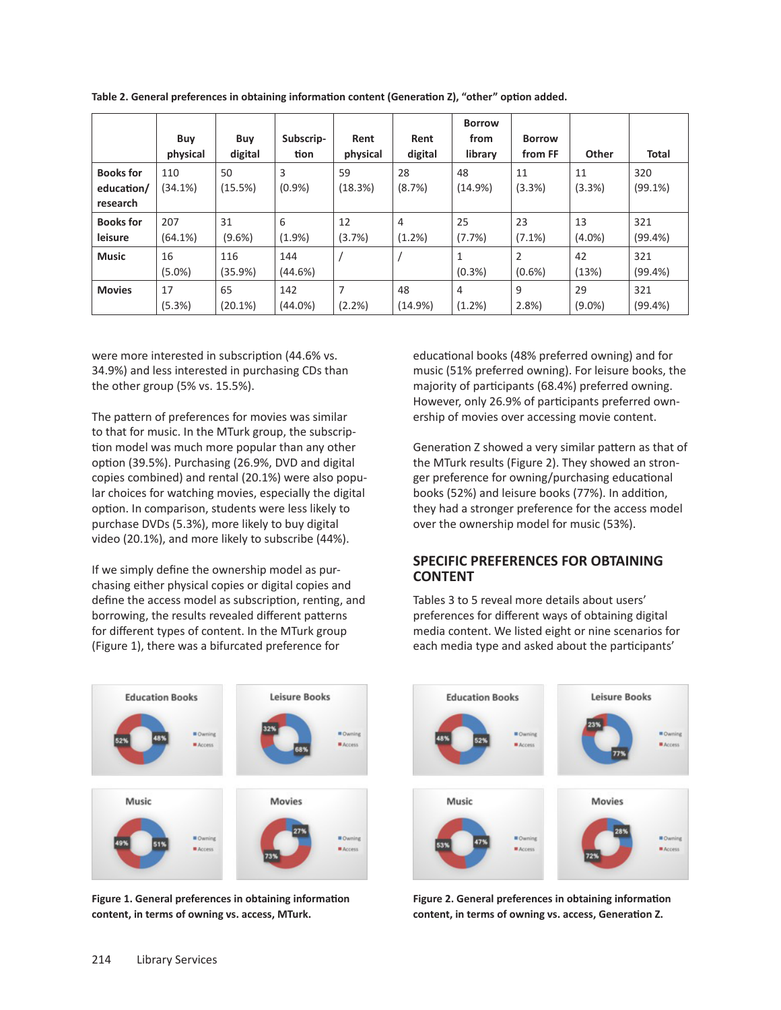|                  | Buy       | Buy       | Subscrip- | Rent     | Rent    | <b>Borrow</b><br>from | <b>Borrow</b>  |           |              |
|------------------|-----------|-----------|-----------|----------|---------|-----------------------|----------------|-----------|--------------|
|                  | physical  | digital   | tion      | physical | digital | library               | from FF        | Other     | <b>Total</b> |
| <b>Books for</b> | 110       | 50        | 3         | 59       | 28      | 48                    | 11             | 11        | 320          |
| education/       | (34.1%)   | (15.5%)   | (0.9%     | (18.3%)  | (8.7%)  | (14.9%)               | (3.3%)         | (3.3%)    | (99.1%)      |
| research         |           |           |           |          |         |                       |                |           |              |
| <b>Books for</b> | 207       | 31        | 6         | 12       | 4       | 25                    | 23             | 13        | 321          |
| leisure          | (64.1%)   | $(9.6\%)$ | (1.9%     | (3.7%)   | (1.2%)  | (7.7%)                | $(7.1\%)$      | $(4.0\%)$ | (99.4%)      |
| <b>Music</b>     | 16        | 116       | 144       |          |         | 1                     | $\overline{2}$ | 42        | 321          |
|                  | $(5.0\%)$ | (35.9%)   | (44.6%)   |          |         | $(0.3\%)$             | $(0.6\%)$      | (13%)     | (99.4%)      |
| <b>Movies</b>    | 17        | 65        | 142       | 7        | 48      | 4                     | 9              | 29        | 321          |
|                  | (5.3%)    | (20.1%)   | (44.0%)   | (2.2%)   | (14.9%) | (1.2%)                | 2.8%           | $(9.0\%)$ | (99.4% )     |

**Table 2. General preferences in obtaining information content (Generation Z), "other" option added.**

were more interested in subscription (44.6% vs. 34.9%) and less interested in purchasing CDs than the other group (5% vs. 15.5%).

The pattern of preferences for movies was similar to that for music. In the MTurk group, the subscription model was much more popular than any other option (39.5%). Purchasing (26.9%, DVD and digital copies combined) and rental (20.1%) were also popular choices for watching movies, especially the digital option. In comparison, students were less likely to purchase DVDs (5.3%), more likely to buy digital video (20.1%), and more likely to subscribe (44%).

If we simply define the ownership model as purchasing either physical copies or digital copies and define the access model as subscription, renting, and borrowing, the results revealed different patterns for different types of content. In the MTurk group (Figure 1), there was a bifurcated preference for



**Figure 1. General preferences in obtaining information content, in terms of owning vs. access, MTurk.**

educational books (48% preferred owning) and for music (51% preferred owning). For leisure books, the majority of participants (68.4%) preferred owning. However, only 26.9% of participants preferred ownership of movies over accessing movie content.

Generation Z showed a very similar pattern as that of the MTurk results (Figure 2). They showed an stronger preference for owning/purchasing educational books (52%) and leisure books (77%). In addition, they had a stronger preference for the access model over the ownership model for music (53%).

#### **SPECIFIC PREFERENCES FOR OBTAINING CONTENT**

Tables 3 to 5 reveal more details about users' preferences for different ways of obtaining digital media content. We listed eight or nine scenarios for each media type and asked about the participants'



**Figure 2. General preferences in obtaining information content, in terms of owning vs. access, Generation Z.**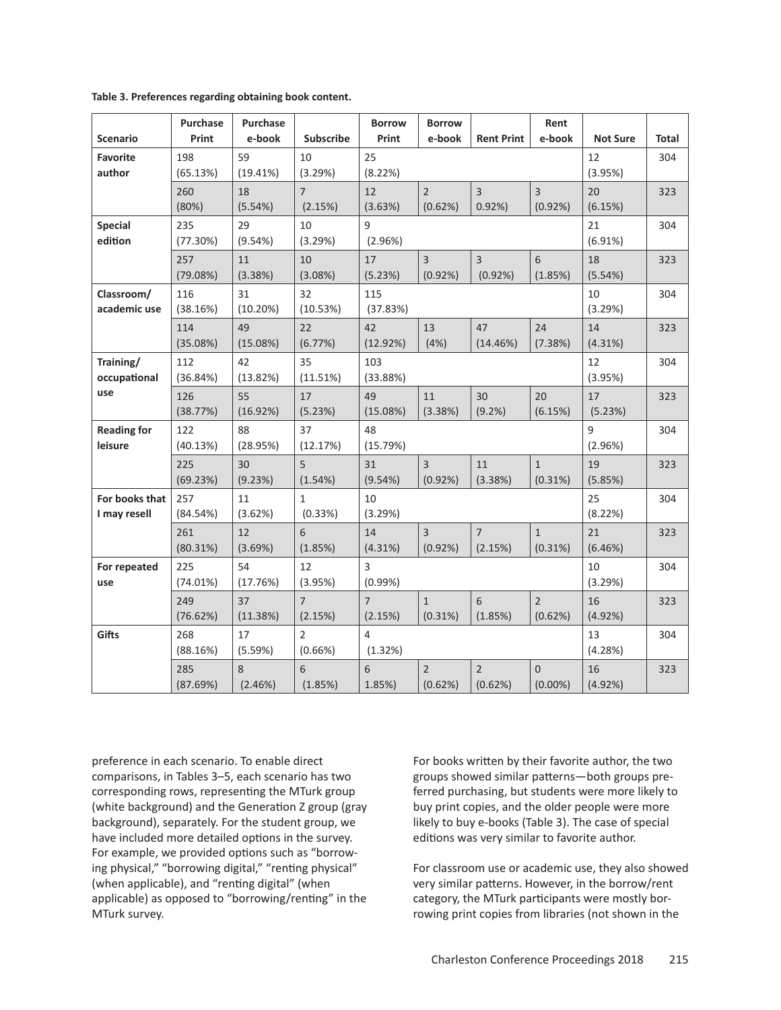| <b>Scenario</b>                | Purchase<br>Print | Purchase<br>e-book | <b>Subscribe</b>          | <b>Borrow</b><br>Print    | <b>Borrow</b><br>e-book   | <b>Rent Print</b>         | Rent<br>e-book               | <b>Not Sure</b> | Total |
|--------------------------------|-------------------|--------------------|---------------------------|---------------------------|---------------------------|---------------------------|------------------------------|-----------------|-------|
| <b>Favorite</b><br>author      | 198<br>(65.13%)   | 59<br>(19.41%)     | 10<br>(3.29%)             | 25<br>(8.22%)             |                           | 12<br>(3.95%)             | 304                          |                 |       |
|                                | 260<br>(80%)      | 18<br>(5.54%)      | $\overline{7}$<br>(2.15%) | 12<br>(3.63%)             | $\overline{2}$<br>(0.62%) | 3<br>0.92%                | $\overline{3}$<br>(0.92%)    | 20<br>(6.15%)   | 323   |
| <b>Special</b><br>edition      | 235<br>(77.30%)   | 29<br>(9.54%)      | 10<br>(3.29%)             | 9<br>(2.96%)              |                           |                           |                              | 21<br>(6.91%)   | 304   |
|                                | 257<br>(79.08%)   | 11<br>(3.38%)      | 10<br>(3.08%)             | 17<br>(5.23%)             | $\overline{3}$<br>(0.92%) | 3<br>(0.92%)              | 6<br>(1.85%)                 | 18<br>(5.54%)   | 323   |
| Classroom/<br>academic use     | 116<br>(38.16%)   | 31<br>(10.20%)     | 32<br>(10.53%)            | 115<br>(37.83%)           |                           |                           |                              | 10<br>(3.29%)   | 304   |
|                                | 114<br>(35.08%)   | 49<br>(15.08%)     | 22<br>(6.77%)             | 42<br>(12.92%)            | 13<br>(4%)                | 47<br>(14.46%)            | 24<br>(7.38%)                | 14<br>(4.31%)   | 323   |
| Training/<br>occupational      | 112<br>(36.84%)   | 42<br>(13.82%)     | 35<br>(11.51%)            | 103<br>(33.88%)           |                           |                           |                              | 12<br>(3.95%)   | 304   |
| use                            | 126<br>(38.77%)   | 55<br>(16.92%)     | 17<br>(5.23%)             | 49<br>(15.08%)            | 11<br>(3.38%)             | 30<br>(9.2%)              | 20<br>(6.15%)                | 17<br>(5.23%)   | 323   |
| <b>Reading for</b><br>leisure  | 122<br>(40.13%)   | 88<br>(28.95%)     | 37<br>(12.17%)            | 48<br>(15.79%)            |                           |                           |                              | 9<br>(2.96%)    | 304   |
|                                | 225<br>(69.23%)   | 30<br>(9.23%)      | 5<br>(1.54%)              | 31<br>(9.54%)             | 3<br>(0.92%)              | 11<br>(3.38%)             | $\mathbf{1}$<br>(0.31%)      | 19<br>(5.85%)   | 323   |
| For books that<br>I may resell | 257<br>(84.54%)   | 11<br>(3.62%)      | $\mathbf{1}$<br>(0.33%)   | 10<br>(3.29%)             |                           |                           |                              | 25<br>(8.22%)   | 304   |
|                                | 261<br>(80.31%)   | 12<br>(3.69%)      | 6<br>(1.85%)              | 14<br>(4.31%)             | 3<br>(0.92%)              | $\overline{7}$<br>(2.15%) | $\mathbf{1}$<br>(0.31%)      | 21<br>(6.46%)   | 323   |
| For repeated<br>use            | 225<br>(74.01%)   | 54<br>(17.76%)     | 12<br>(3.95%)             | 3<br>(0.99%)              |                           |                           |                              | 10<br>(3.29%)   | 304   |
|                                | 249<br>(76.62%)   | 37<br>(11.38%)     | $\overline{7}$<br>(2.15%) | $\overline{7}$<br>(2.15%) | $\mathbf{1}$<br>(0.31%)   | 6<br>(1.85%)              | $\overline{2}$<br>(0.62%)    | 16<br>(4.92%)   | 323   |
| Gifts                          | 268<br>(88.16%)   | 17<br>(5.59%)      | $\overline{2}$<br>(0.66%) | 4<br>(1.32%)              |                           |                           |                              | 13<br>(4.28%)   | 304   |
|                                | 285<br>(87.69%)   | 8<br>(2.46%)       | 6<br>(1.85%)              | 6<br>1.85%)               | $\overline{2}$<br>(0.62%) | $\overline{2}$<br>(0.62%) | $\overline{0}$<br>$(0.00\%)$ | 16<br>(4.92%)   | 323   |

|  | Table 3. Preferences regarding obtaining book content. |  |  |  |  |
|--|--------------------------------------------------------|--|--|--|--|
|--|--------------------------------------------------------|--|--|--|--|

preference in each scenario. To enable direct comparisons, in Tables 3–5, each scenario has two corresponding rows, representing the MTurk group (white background) and the Generation Z group (gray background), separately. For the student group, we have included more detailed options in the survey. For example, we provided options such as "borrowing physical," "borrowing digital," "renting physical" (when applicable), and "renting digital" (when applicable) as opposed to "borrowing/renting" in the MTurk survey.

For books written by their favorite author, the two groups showed similar patterns—both groups preferred purchasing, but students were more likely to buy print copies, and the older people were more likely to buy e-books (Table 3). The case of special editions was very similar to favorite author.

For classroom use or academic use, they also showed very similar patterns. However, in the borrow/rent category, the MTurk participants were mostly borrowing print copies from libraries (not shown in the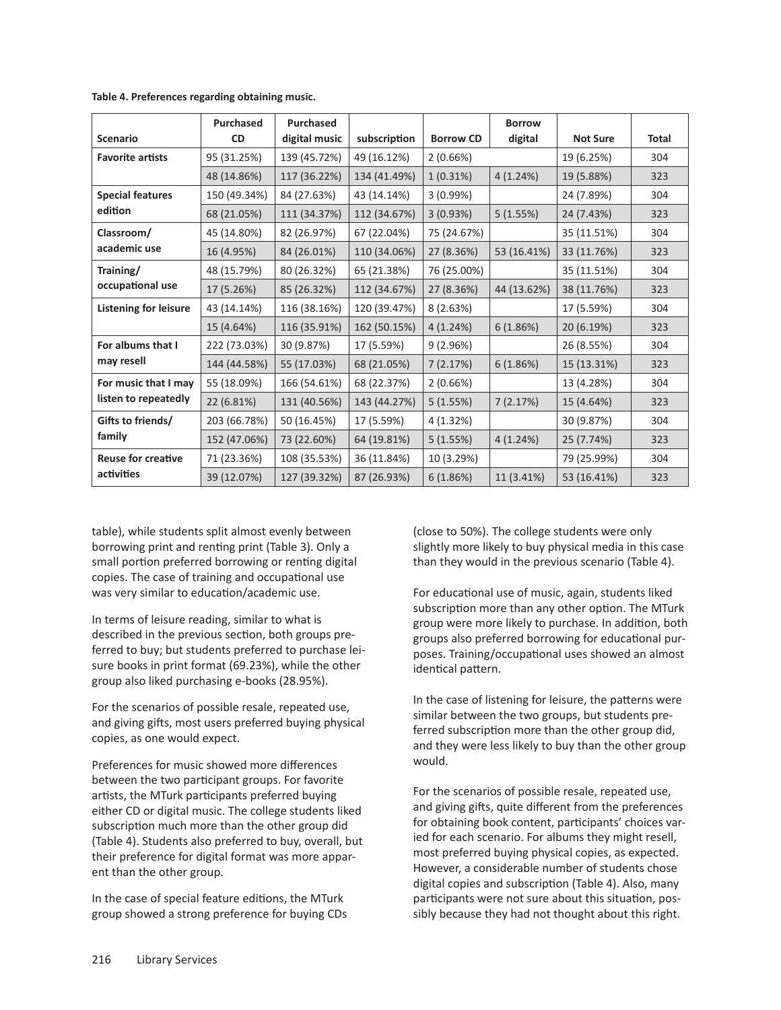|                                                               | <b>Purchased</b> | <b>Purchased</b> |              |                  | <b>Borrow</b> |                 |       |
|---------------------------------------------------------------|------------------|------------------|--------------|------------------|---------------|-----------------|-------|
| <b>Scenario</b>                                               | <b>CD</b>        | digital music    | subscription | <b>Borrow CD</b> | digital       | <b>Not Sure</b> | Total |
| <b>Favorite artists</b>                                       | 95 (31.25%)      | 139 (45.72%)     | 49 (16.12%)  | 2(0.66%)         |               | 19 (6.25%)      | 304   |
|                                                               | 48 (14.86%)      | 117 (36.22%)     | 134 (41.49%) | $1(0.31\%)$      | 4(1.24%)      | 19 (5.88%)      | 323   |
| <b>Special features</b>                                       | 150 (49.34%)     | 84 (27.63%)      | 43 (14.14%)  | 3(0.99%)         |               | 24 (7.89%)      | 304   |
| edition                                                       | 68 (21.05%)      | 111 (34.37%)     | 112 (34.67%) | 3(0.93%)         | 5(1.55%)      | 24 (7.43%)      | 323   |
| Classroom/                                                    | 45 (14.80%)      | 82 (26.97%)      | 67 (22.04%)  | 75 (24.67%)      |               | 35 (11.51%)     | 304   |
| academic use                                                  | 16 (4.95%)       | 84 (26.01%)      | 110 (34.06%) | 27 (8.36%)       | 53 (16.41%)   | 33 (11.76%)     | 323   |
| Training/<br>occupational use<br><b>Listening for leisure</b> | 48 (15.79%)      | 80 (26.32%)      | 65 (21.38%)  | 76 (25.00%)      |               | 35 (11.51%)     | 304   |
|                                                               | 17 (5.26%)       | 85 (26.32%)      | 112 (34.67%) | 27 (8.36%)       | 44 (13.62%)   | 38 (11.76%)     | 323   |
|                                                               | 43 (14.14%)      | 116 (38.16%)     | 120 (39.47%) | 8(2.63%)         |               | 17 (5.59%)      | 304   |
|                                                               | 15 (4.64%)       | 116 (35.91%)     | 162 (50.15%) | 4(1.24%)         | 6(1.86%)      | 20 (6.19%)      | 323   |
| For albums that I                                             | 222 (73.03%)     | 30 (9.87%)       | 17 (5.59%)   | 9(2.96%)         |               | 26 (8.55%)      | 304   |
| may resell                                                    | 144 (44.58%)     | 55 (17.03%)      | 68 (21.05%)  | 7(2.17%)         | 6(1.86%)      | 15 (13.31%)     | 323   |
| For music that I may                                          | 55 (18.09%)      | 166 (54.61%)     | 68 (22.37%)  | 2(0.66%)         |               | 13 (4.28%)      | 304   |
| listen to repeatedly                                          | 22 (6.81%)       | 131 (40.56%)     | 143 (44.27%) | 5(1.55%)         | 7(2.17%)      | 15 (4.64%)      | 323   |
| Gifts to friends/                                             | 203 (66.78%)     | 50 (16.45%)      | 17 (5.59%)   | 4 (1.32%)        |               | 30 (9.87%)      | 304   |
| family                                                        | 152 (47.06%)     | 73 (22.60%)      | 64 (19.81%)  | 5(1.55%)         | 4(1.24%)      | 25 (7.74%)      | 323   |
| <b>Reuse for creative</b>                                     | 71 (23.36%)      | 108 (35.53%)     | 36 (11.84%)  | 10 (3.29%)       |               | 79 (25.99%)     | 304   |
| activities                                                    | 39 (12.07%)      | 127 (39.32%)     | 87 (26.93%)  | 6(1.86%)         | 11 (3.41%)    | 53 (16.41%)     | 323   |

**Table 4. Preferences regarding obtaining music.**

table), while students split almost evenly between borrowing print and renting print (Table 3). Only a small portion preferred borrowing or renting digital copies. The case of training and occupational use was very similar to education/academic use.

In terms of leisure reading, similar to what is described in the previous section, both groups preferred to buy; but students preferred to purchase leisure books in print format (69.23%), while the other group also liked purchasing e-books (28.95%).

For the scenarios of possible resale, repeated use, and giving gifts, most users preferred buying physical copies, as one would expect.

Preferences for music showed more differences between the two participant groups. For favorite artists, the MTurk participants preferred buying either CD or digital music. The college students liked subscription much more than the other group did (Table 4). Students also preferred to buy, overall, but their preference for digital format was more apparent than the other group.

In the case of special feature editions, the MTurk group showed a strong preference for buying CDs (close to 50%). The college students were only slightly more likely to buy physical media in this case than they would in the previous scenario (Table 4).

For educational use of music, again, students liked subscription more than any other option. The MTurk group were more likely to purchase. In addition, both groups also preferred borrowing for educational purposes. Training/occupational uses showed an almost identical pattern.

In the case of listening for leisure, the patterns were similar between the two groups, but students preferred subscription more than the other group did, and they were less likely to buy than the other group would.

For the scenarios of possible resale, repeated use, and giving gifts, quite different from the preferences for obtaining book content, participants' choices varied for each scenario. For albums they might resell, most preferred buying physical copies, as expected. However, a considerable number of students chose digital copies and subscription (Table 4). Also, many participants were not sure about this situation, possibly because they had not thought about this right.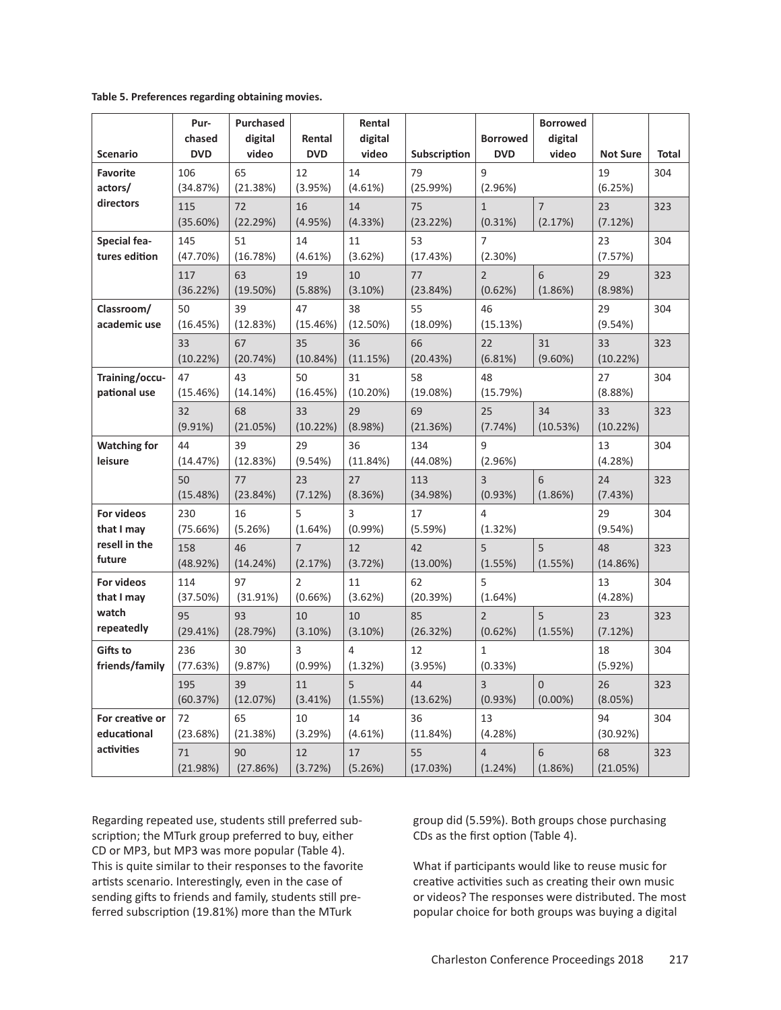|  | Table 5. Preferences regarding obtaining movies. |  |  |  |
|--|--------------------------------------------------|--|--|--|
|--|--------------------------------------------------|--|--|--|

| <b>Scenario</b>                | Pur-<br>chased<br><b>DVD</b> | <b>Purchased</b><br>digital<br>video | Rental<br><b>DVD</b>      | Rental<br>digital<br>video | Subscription      | <b>Borrowed</b><br><b>DVD</b> | <b>Borrowed</b><br>digital<br>video | <b>Not Sure</b> | <b>Total</b> |
|--------------------------------|------------------------------|--------------------------------------|---------------------------|----------------------------|-------------------|-------------------------------|-------------------------------------|-----------------|--------------|
| <b>Favorite</b><br>actors/     | 106<br>(34.87%)              | 65<br>(21.38%)                       | 12<br>(3.95%)             | 14<br>(4.61%)              | 79<br>(25.99%)    | 9<br>(2.96%)                  |                                     | 19<br>(6.25%)   | 304          |
| directors                      | 115<br>(35.60%)              | 72<br>(22.29%)                       | 16<br>(4.95%)             | 14<br>(4.33%)              | 75<br>(23.22%)    | $\mathbf{1}$<br>(0.31%)       | $\overline{7}$<br>(2.17%)           | 23<br>(7.12%)   | 323          |
| Special fea-<br>tures edition  | 145<br>(47.70%)              | 51<br>(16.78%)                       | 14<br>(4.61%)             | 11<br>(3.62%)              | 53<br>(17.43%)    | $\overline{7}$<br>(2.30%)     |                                     | 23<br>(7.57%)   | 304          |
|                                | 117<br>(36.22%)              | 63<br>$(19.50\%)$                    | 19<br>(5.88%)             | 10<br>(3.10%)              | 77<br>(23.84%)    | $\overline{2}$<br>(0.62%)     | 6<br>(1.86%)                        | 29<br>(8.98%)   | 323          |
| Classroom/<br>academic use     | 50<br>(16.45%)               | 39<br>(12.83%)                       | 47<br>(15.46%)            | 38<br>(12.50%)             | 55<br>(18.09%)    | 46<br>(15.13%)                |                                     | 29<br>(9.54%)   | 304          |
|                                | 33<br>(10.22%)               | 67<br>(20.74%)                       | 35<br>(10.84%)            | 36<br>(11.15%)             | 66<br>(20.43%)    | 22<br>(6.81%)                 | 31<br>$(9.60\%)$                    | 33<br>(10.22%)  | 323          |
| Training/occu-<br>pational use | 47<br>(15.46%)               | 43<br>(14.14%)                       | 50<br>(16.45%)            | 31<br>(10.20%)             | 58<br>(19.08%)    | 48<br>(15.79%)                |                                     | 27<br>(8.88%)   | 304          |
|                                | 32<br>(9.91%)                | 68<br>(21.05%)                       | 33<br>(10.22%)            | 29<br>(8.98%)              | 69<br>(21.36%)    | 25<br>(7.74%)                 | 34<br>(10.53%)                      | 33<br>(10.22%)  | 323          |
| <b>Watching for</b><br>leisure | 44<br>(14.47%)               | 39<br>(12.83%)                       | 29<br>(9.54%)             | 36<br>(11.84%)             | 134<br>(44.08%)   | 9<br>(2.96%)                  |                                     | 13<br>(4.28%)   | 304          |
|                                | 50<br>(15.48%)               | 77<br>(23.84%)                       | 23<br>(7.12%)             | 27<br>(8.36%)              | 113<br>(34.98%)   | $\overline{3}$<br>(0.93%)     | 6<br>(1.86%)                        | 24<br>(7.43%)   | 323          |
| For videos<br>that I may       | 230<br>(75.66%)              | 16<br>(5.26%)                        | 5<br>(1.64%)              | 3<br>(0.99%)               | 17<br>(5.59%)     | $\overline{4}$<br>(1.32%)     |                                     | 29<br>(9.54%)   | 304          |
| resell in the<br>future        | 158<br>(48.92%)              | 46<br>(14.24%)                       | $\overline{7}$<br>(2.17%) | 12<br>(3.72%)              | 42<br>$(13.00\%)$ | 5<br>(1.55%)                  | 5<br>(1.55%)                        | 48<br>(14.86%)  | 323          |
| For videos<br>that I may       | 114<br>(37.50%)              | 97<br>(31.91%)                       | 2<br>(0.66%)              | 11<br>(3.62%)              | 62<br>(20.39%)    | 5<br>(1.64%)                  |                                     | 13<br>(4.28%)   | 304          |
| watch<br>repeatedly            | 95<br>(29.41%)               | 93<br>(28.79%)                       | 10<br>(3.10%)             | 10<br>(3.10%)              | 85<br>(26.32%)    | $\overline{2}$<br>(0.62%)     | 5<br>(1.55%)                        | 23<br>(7.12%)   | 323          |
| Gifts to<br>friends/family     | 236<br>(77.63%)              | 30<br>(9.87%)                        | 3<br>(0.99%)              | $\overline{4}$<br>(1.32%)  | 12<br>(3.95%)     | $\mathbf{1}$<br>(0.33%)       |                                     | 18<br>(5.92%)   | 304          |
|                                | 195<br>(60.37%)              | 39<br>(12.07%)                       | 11<br>(3.41%)             | 5<br>(1.55%)               | 44<br>(13.62%)    | $\overline{3}$<br>(0.93%)     | $\Omega$<br>$(0.00\%)$              | 26<br>(8.05%)   | 323          |
| For creative or<br>educational | 72<br>(23.68%)               | 65<br>(21.38%)                       | 10<br>(3.29%)             | 14<br>(4.61%)              | 36<br>(11.84%)    | 13<br>(4.28%)                 |                                     | 94<br>(30.92%)  | 304          |
| activities                     | 71<br>(21.98%)               | 90<br>(27.86%)                       | 12<br>(3.72%)             | 17<br>(5.26%)              | 55<br>(17.03%)    | $\overline{4}$<br>(1.24%)     | 6<br>(1.86%)                        | 68<br>(21.05%)  | 323          |

Regarding repeated use, students still preferred subscription; the MTurk group preferred to buy, either CD or MP3, but MP3 was more popular (Table 4). This is quite similar to their responses to the favorite artists scenario. Interestingly, even in the case of sending gifts to friends and family, students still preferred subscription (19.81%) more than the MTurk

group did (5.59%). Both groups chose purchasing CDs as the first option (Table 4).

What if participants would like to reuse music for creative activities such as creating their own music or videos? The responses were distributed. The most popular choice for both groups was buying a digital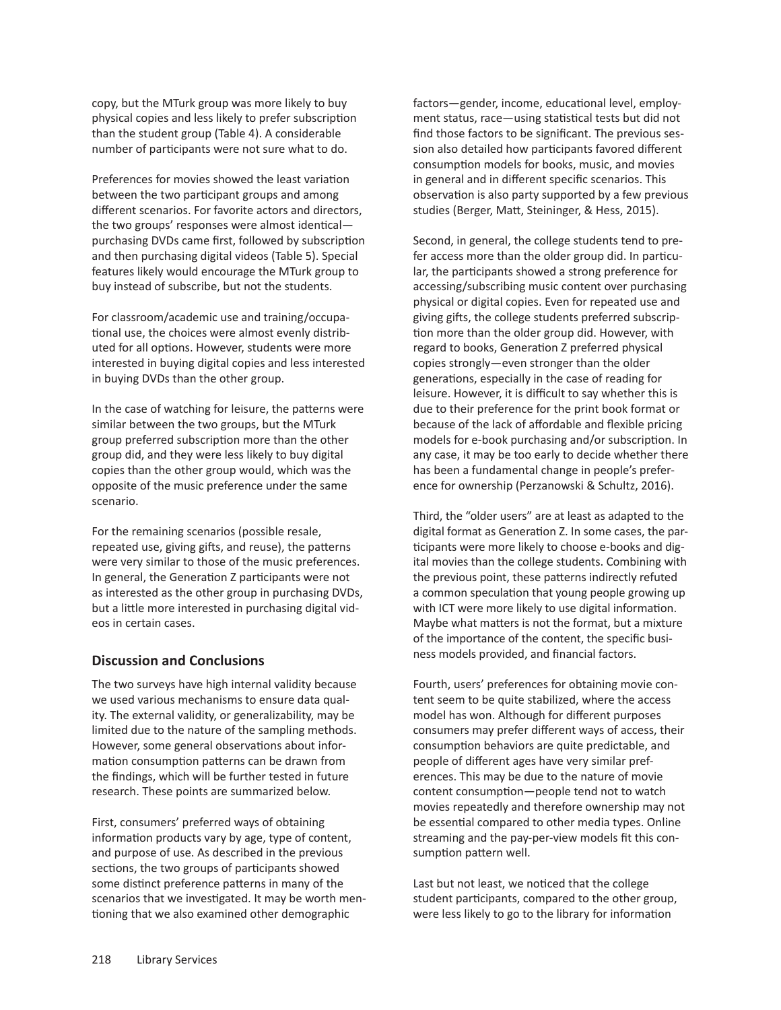copy, but the MTurk group was more likely to buy physical copies and less likely to prefer subscription than the student group (Table 4). A considerable number of participants were not sure what to do.

Preferences for movies showed the least variation between the two participant groups and among different scenarios. For favorite actors and directors, the two groups' responses were almost identical purchasing DVDs came first, followed by subscription and then purchasing digital videos (Table 5). Special features likely would encourage the MTurk group to buy instead of subscribe, but not the students.

For classroom/academic use and training/occupational use, the choices were almost evenly distributed for all options. However, students were more interested in buying digital copies and less interested in buying DVDs than the other group.

In the case of watching for leisure, the patterns were similar between the two groups, but the MTurk group preferred subscription more than the other group did, and they were less likely to buy digital copies than the other group would, which was the opposite of the music preference under the same scenario.

For the remaining scenarios (possible resale, repeated use, giving gifts, and reuse), the patterns were very similar to those of the music preferences. In general, the Generation Z participants were not as interested as the other group in purchasing DVDs, but a little more interested in purchasing digital videos in certain cases.

## **Discussion and Conclusions**

The two surveys have high internal validity because we used various mechanisms to ensure data quality. The external validity, or generalizability, may be limited due to the nature of the sampling methods. However, some general observations about information consumption patterns can be drawn from the findings, which will be further tested in future research. These points are summarized below.

First, consumers' preferred ways of obtaining information products vary by age, type of content, and purpose of use. As described in the previous sections, the two groups of participants showed some distinct preference patterns in many of the scenarios that we investigated. It may be worth mentioning that we also examined other demographic

factors—gender, income, educational level, employment status, race—using statistical tests but did not find those factors to be significant. The previous session also detailed how participants favored different consumption models for books, music, and movies in general and in different specific scenarios. This observation is also party supported by a few previous studies (Berger, Matt, Steininger, & Hess, 2015).

Second, in general, the college students tend to prefer access more than the older group did. In particular, the participants showed a strong preference for accessing/subscribing music content over purchasing physical or digital copies. Even for repeated use and giving gifts, the college students preferred subscription more than the older group did. However, with regard to books, Generation Z preferred physical copies strongly—even stronger than the older generations, especially in the case of reading for leisure. However, it is difficult to say whether this is due to their preference for the print book format or because of the lack of affordable and flexible pricing models for e-book purchasing and/or subscription. In any case, it may be too early to decide whether there has been a fundamental change in people's preference for ownership (Perzanowski & Schultz, 2016).

Third, the "older users" are at least as adapted to the digital format as Generation Z. In some cases, the participants were more likely to choose e-books and digital movies than the college students. Combining with the previous point, these patterns indirectly refuted a common speculation that young people growing up with ICT were more likely to use digital information. Maybe what matters is not the format, but a mixture of the importance of the content, the specific business models provided, and financial factors.

Fourth, users' preferences for obtaining movie content seem to be quite stabilized, where the access model has won. Although for different purposes consumers may prefer different ways of access, their consumption behaviors are quite predictable, and people of different ages have very similar preferences. This may be due to the nature of movie content consumption—people tend not to watch movies repeatedly and therefore ownership may not be essential compared to other media types. Online streaming and the pay-per-view models fit this consumption pattern well.

Last but not least, we noticed that the college student participants, compared to the other group, were less likely to go to the library for information